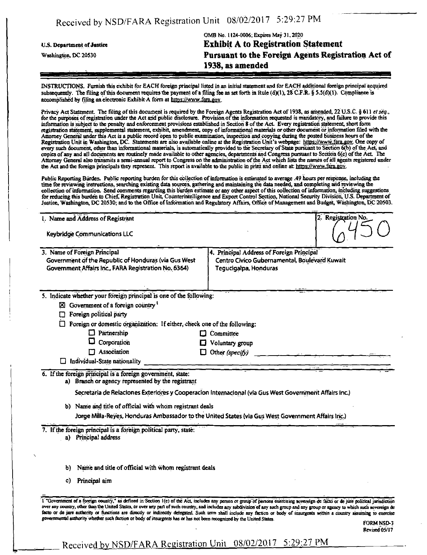|                            | OMB No. 1124-0006; Expires May 31, 2020            |
|----------------------------|----------------------------------------------------|
| U.S. Department of Justice | <b>Exhibit A to Registration Statement</b>         |
| Washington, DC 20530       | Pursuant to the Foreign Agents Registration Act of |
|                            | 1938, as amended                                   |
|                            |                                                    |

INSTRUCTIONS. Furnish this exhibit for EACH foreign principal listed in an initial statement and for EACH additional foreign principal acquired subsequently. The filing of this document requires the payment of a filing fee as set forth in Rule (d)(1), 28 C.F.R. § 5.5(d)(1). Compliance is accomplished by filing an electronic Exhibit A form at hitps://www.fara.gov.

Privacy Act Statement. The filing of this document is required by the Foreign Agents Registration Act of 1938, as amended, 22 U.S.C. § 611 et seq., for the purposes of registration under the Act and public disclosure. Provision of the information requested is mandatory, and failure to provide this information is subject to the penalty and enforcement provisions established in Section 8 of the Act Every registration statement, short form registration statement, supplemental statement, exhibit, amendment, copy of informational materials or other document or information filed with the Attorney General under this Act is a public record open to public examination, inspection and copying during the posted business hours of the Registration Unit in Washington, DC. Statements are also available online at the Registration Unit's webpage: https://www.fara.gov. One copy of every such document, other than informational materials, is automatically provided to the Secretary of State pursuant to Section 6(b) of the Act, and copies of any and all documents are routinely made available to other agencies, aepartments and Congress pursuant to Section 6(c) of the Act The Attorney General also transmits a semi-annual report to Congress on the administration of the Act which lists the names of all agents registered under the Act and the foreign principals they represent. This report is available to the public in print and online at https://www.fara.gov.

Public Reporting Burden. Public reporting burden for this collection of information is estimated to average .49 hours per response, including the time for reviewing instructions, searching existing data sources, gathering and maintaining the data needed, and completing arid reviewing the collection of information. Send comments regarding this burden estimate or any other aspect of this collection of information, including suggestions for reducing this burden to Chief, Registration Unit, Counterintelligence and Export Control Section, National Security Division, U.S. Department of Justice, Washington, DC 20530; and to the Office of Information and Regulatory Affairs, Office of Management and Budget, Washington, DC 20503.

| 1. Name and Address of Registrant                                                                                                                                                                                                            |                                                                                                                     | 2. Registration No. |
|----------------------------------------------------------------------------------------------------------------------------------------------------------------------------------------------------------------------------------------------|---------------------------------------------------------------------------------------------------------------------|---------------------|
| <b>Keybridge Communications LLC</b>                                                                                                                                                                                                          |                                                                                                                     |                     |
| 3. Name of Foreign Principal<br>Government of the Republic of Honduras (via Gus West<br>Government Affairs Inc., FARA Registration No. 6364)                                                                                                 | 4. Principal Address of Foreign Principal<br>Centro Civico Gubernamental, Boulevard Kuwait<br>Tegucigalpa, Honduras |                     |
| 5. Indicate whether your foreign principal is one of the following:<br>$\boxtimes$ Government of a foreign country <sup>1</sup><br>Foreign political party<br>רו<br>Foreign or domestic organization: If either, check one of the following: |                                                                                                                     |                     |
| Partnership<br>O.<br>IJ                                                                                                                                                                                                                      | Committee                                                                                                           |                     |
| Q<br>Corporation                                                                                                                                                                                                                             | Voluntary group                                                                                                     |                     |
| $\Box$ Association<br>O                                                                                                                                                                                                                      | Other (specify)                                                                                                     |                     |
| Individual-State nationality                                                                                                                                                                                                                 |                                                                                                                     |                     |
| 6. If the foreign principal is a foreign government, state:<br>a) Branch or agency represented by the registrant                                                                                                                             |                                                                                                                     |                     |
| Secretaria de Relaciones Exteriores y Cooperacion Internacional (via Gus West Government Affairs Inc.)                                                                                                                                       |                                                                                                                     |                     |
| b) Name and title of official with whom registrant deals                                                                                                                                                                                     |                                                                                                                     |                     |
| Jorge Milla-Reyes, Honduras Ambassador to the United States (via Gus West Government Affairs Inc.)                                                                                                                                           |                                                                                                                     |                     |
| 7. If the foreign principal is a foreign political party, state:<br>Principal address<br>a)                                                                                                                                                  |                                                                                                                     |                     |
| Name and title of official with whom registrant deals<br>рJ                                                                                                                                                                                  |                                                                                                                     |                     |
| Principal aim<br>c)                                                                                                                                                                                                                          |                                                                                                                     |                     |
|                                                                                                                                                                                                                                              |                                                                                                                     |                     |

over any country, other than ihe United Stales, tn over any pan of such country, and includes airy subdivision of any such group and any group or agency to which such sovereign de facto or de jure authority or functions are directly or indirectly delegated. Such term shall include any faction or body of insurgents within a country assuming to exercise governmental authority whether such faction or body of insurgents has or has not been recognized by the United States.

FORMNSD-3 Revised 05/17

## Received by NSD/FARA Registration Unit 08/02/2017 5:29:27 PM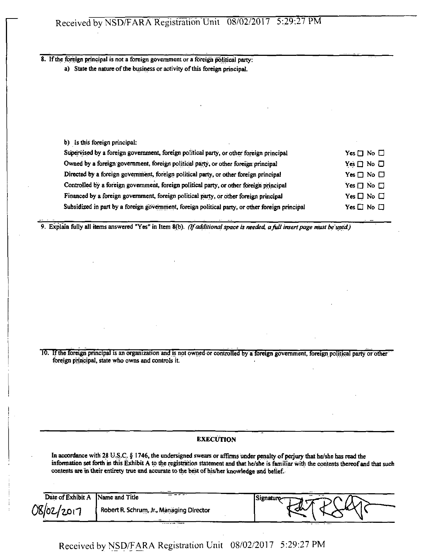8. If the foreign principal is not a foreign government or a foreign political party:

a) State the nature of the business or activity of this foreign principal.

b) Is this foreign principal:

| Supervised by a foreign government, foreign political party, or other foreign principal         | Yes $\square$ No $\square$ |
|-------------------------------------------------------------------------------------------------|----------------------------|
| Owned by a foreign government, foreign political party, or other foreign principal              | Yes $\Box$ No $\Box$       |
| Directed by a foreign government, foreign political party, or other foreign principal           | $Yes \Box No \Box$         |
| Controlled by a foreign government, foreign political party, or other foreign principal         | Yes $\Box$ No $\Box$       |
| Financed by a foreign government, foreign political party, or other foreign principal           | Yes $\Box$ No $\Box$       |
| Subsidized in part by a foreign government, foreign political party, or other foreign principal | Yes $\square$ No $\square$ |

*9. Explain fully all items answered "Yes" in Item 8(b). (If additional space is needed, afull insert page must be used)* 

10. If the foreign principal is an organization and is not owned or controlled by a foreign government, foreign political party or other foreign principal, state who owns and controls it.

#### **EXECUTION**

In accordance with 28 U.S.C. § 1746, the undersigned swears or affirms under penalty of perjury that he/she has read the information set forth m this Exhibit A to the registration statement and that he/she is familiar with the contents thereof and that such contents are in their entirety true and accurate to the best of his/her knowledge and belief.

|                   | <b><i><u>ALCOHOL: 1989</u></i></b>       |           |
|-------------------|------------------------------------------|-----------|
| Date of Exhibit A | Name and Title                           | Signature |
| 08/02/2017        | Robert R. Schrum, Jr., Managing Director | 公         |

Received by NSD/FARA Registration Unit 08/02/2017 5:29:27 PM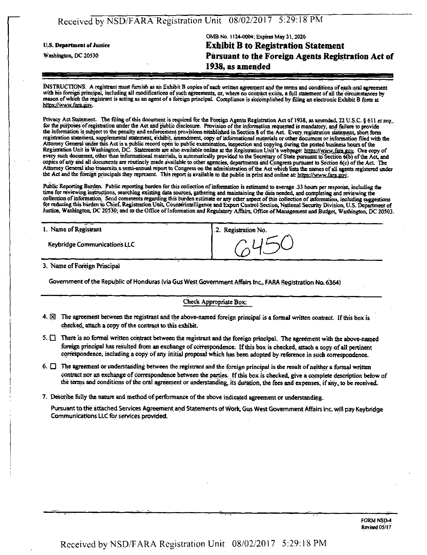## Received by NSD/FARA Registration Unit 08/02/2017 5:29:18 PM

## OMB No. 1124-0004; Expires May 31,2020 **u.s. Departmeni of jnstice Exhibit B to Registration Statement Washington, DC 20530 Pursuant to the Foreign Agents Registration Act of 1938, as amended**

INSTRUCTIONS. A registrant must furnish as ah Exhibit B copies of each written agreement and the terms and conditions of each oral agreement with his foreign principal, including all modifications of such agreements, or, where no contract exists, a full statement of all the circumstances by reason of which the registrant is acting as an agent of a foreign principal. Compliance is accomplished by filing an electronic Exhibit B form at https://www.fara.gov.

Privacy Act Statement. The filing of this document is required for the Foreign Agents Registration Act of 1938, as amended, 22 U.S.C. § 611 et seq. for me purposes of registration under the Act and public disclosure. Provision of the information requested is mandatory, and failure to provide the information is subject to the penalty and enforcement provisions established in Section 8 of the Act. Every registration statement, short form registration statement, supplemental statement, exhibit, amendment, copy of informational materials or other document or information filed with tbe Attorney General under this Act is a public record open to public examination, inspection and copying during me posted business hours of the Registration Unit in Washington, DC. Statements are also available online at the Registration Unit's webpage: https://www.fara.gov. One copy of every such document, other than informational materials, is automatically provided to the Secretary of State pursuant to" Section 6(b) of the Act, and copies of any and all documents are routinely made available to other agencies, departments and Congress pursuant to Section 6(c) of the Act. The Attorney General also transmits a semi-annual report to Congress on the administration of the Act which lists the names of all agents registered under the Act and the foreign principals they represent. This report is available to the public in print and online at: https://www.fara.gov.

Public Reporting Burden. Public reporting burden for this collection of mfonnation is estimated to average .33 hours per response, including the time for reviewing instructions, searching existing data sources, gathering and maintaining the data needed, and completing and reviewing the collection of mfonnation. Send comments regarding this burden estimate or any other aspect of this collection of information, including suggestions for reducing this burden to Chief, Registration Unit, Counterintelligence and Export Control Section, National Security Division, U.S. Department of Justice, Washington, DC 20530; and to the Office of Information and Regulatory Affairs, Office of Management and Budget, Washington, DC 20503.

| 1. Name of Registrant               | 2. Registration No. |
|-------------------------------------|---------------------|
| <b>Keybridge Communications LLC</b> |                     |

3. Name of Foreign Principal

Government of the Republic of Honduras (via Gus West Government Affairs Inc, FARA Registration Na 6364)

#### Check Appropriate Box:

- 4.  $\boxtimes$  The agreement between the registrant and the above-named foreign principal is a formal written contract. If this box is checked, attach a copy of the contract to this exhibit.
- 5.  $\Box$  There is no formal written contract between the registrant and the foreign principal. The agreement with the above-named foreign principal has resulted from an exchange of correspondence. If this box is checked, attach a copy of all pertinent correspondence, including a copy of any initial proposal which has been adopted by reference in such correspondence.
- 6.  $\Box$  The agreement or understanding between the registrant and the foreign principal is the result of neither a formal written contract nor an exchange of correspondence between the parties. If this box is checked, give a complete description below of the terms and conditions of the oral agreement or understanding, its duration, the fees and expenses, if any, to be received.
- 7. Describe fully the nature and method of performance of the above indicated agreement or understanding.

Pursuant to the attached Services Agreement and Statements of Work, Gus West Government Affairs Inc. will pay Keybridge Communications LLC for services provided.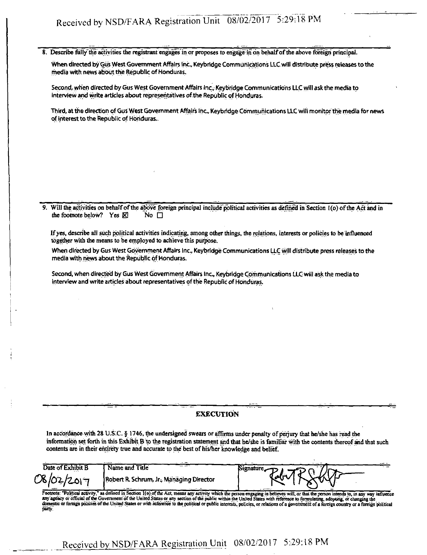# Received by NSD/FARA Registration Unit 08/02/2017 5:29:18 PM

8. Describe fully the activities the registrant engages in or proposes to engage in on behalf of the above foreign principal.

When directed by Gus West Government Affairs Inc., Keybridge Communications LLC will distribute press releases to the media with news about the Republic of Honduras.

Second, when directed by Gus West Government Affairs Inc., Keybridge Communications LLC will ask the media to interview and write articles about representatives of the Republic of Honduras.

Third, at the direction of Gus West Government Affairs Inc., Keybridge Communications LLC will monitor the media for news of interest to the Republic of Honduras.

Will the activities on behalf of the above foreign principal include political activities as defined in Section I(o) of the Act and in the footnote below? Yes  $\boxtimes$  No  $\Box$ the footnote below? Yes  $\boxtimes$ 

If yes, describe all such political activities indicating, among other things, the relations, interests or policies to be influenced together with the means to be employed to achieve this purpose.

When directed by Gus West Government Affairs Inc., Keybridge Communications LLC will distribute press releases to the media with news about the Republic of Honduras.

Second, when directed by Giis West Government Affairs Inc, Keybridge Communications LLC will ask the media to interview and write articles about representatives of the Republic of Honduras.

#### **EXECUTION**

In accordance with 28 U.S.C. § 1746, the undersigned swears or affirms under penalty of perjury that he/she has read the information set forth in this Exhibit B to the registration statement and that he/she is familiar with the contents thereof and that such contents are in their entirety true and accurate to the best of his/her knowledge and belief.

| Date of Exhibit B<br>Name and Title<br>Signature <sub>z</sub><br>RELARSHAP |            |                                          |  |
|----------------------------------------------------------------------------|------------|------------------------------------------|--|
|                                                                            |            |                                          |  |
|                                                                            | 08/02/2017 | Robert R. Schrum, Jr., Managing Director |  |

Footnote: "Political activity," as defined in Section 1(o) of the Act, means any activity which the person engaging in believes will, or that the person intends to, in any way influence<br>any agency or official of the Govern domestic or foreign policies of the United States or with reference to the political or public interests, policies, or relations of a government of a foreign country or a foreign political party.

## Received by NSD/FARA Registration Unit 08/02/2017 5:29:18 PM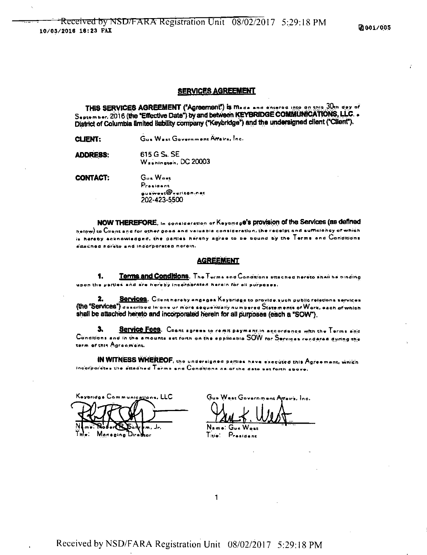#### **SERVICES AGREEMENT**

THIS SERVICES AGREEMENT ("Agreement") is made and discrete late an ship 30th day of September, 2016 (the "Effective Date") by and between KEYBRIDGE COMMUNICATIONS, LLC. . District of Columbia limited liability company ("Keybridge") and the undersigned client ("Client").

Gus West Government Attairs, Inc. **CLIENT:** 

615 G S. SE **ADDRESS:** Washington, DC 20003

Gus Wost **CONTACT:** President  $a$ uswest $\circledR$ verizon.net 202-423-5500

NOW THEREFORE. In consideration of Keypridge's provision of the Services (as defined hatow) to Client and for other good and valuable consideration, the receipt and sufficiency of which is hereby acknowledged, the parties haraby agree to be bound by the Terms and Conditions attached horste and incorporated herein.

#### **AGREEMENT**

Terms and Conditions. The Terms and Conditions attached hereto shall be binding 1. upon the perties and are hereby incorporated harain for all purposes.

2. Services. Cilent hereby angages Koybridge to provide such public relations services (the "Services") asscribed in one or more sequentially numbered Statements of Wark, each of which shall be attached hereto and incorporated herein for all purposes (each a "SOW").

Service Fees. Client agrees to remit payment in accordance with the Terms and 3. Conditions and in the amounts set forth on the applicable SOW for Services rendered during the term of this Agreemant.

IN WITNESS WHEREOF, the undersigned parties have executed this Agreement, which Indarparetes the sttadhed Terms and Conditions as archa dato set forth above.

nications, LLC

 $G_{\cdots}$ ira, Ino.

Name: Gua Title: President

 $\mathbf{1}$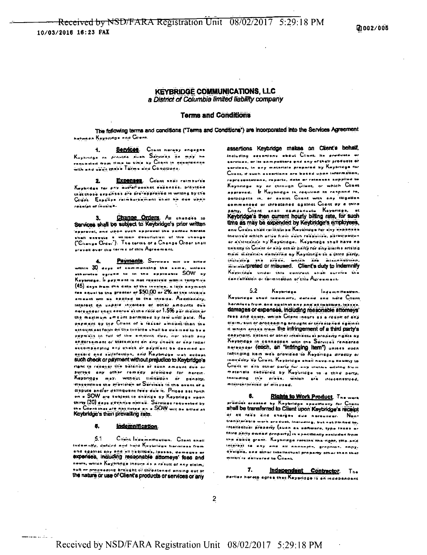#### **KEYBRIDGE COMMUNICATIONS, LLC** a District of Columbia limited liability company

#### **Terms and Conditions**

The following terms and conditions ('Terms and Conditions') are incorporated into the Services Agreement hatween Kaybridge end Client.

Services. Client hereby engages 4. Kayhvidga za projudo duan Sarjunas da may na enquested from time to time by Chant in accordence with and usen thave Terms and Conditions.

EXDORSES. Colent shall reimburse Ż. Kayaridae ter eny outer poeket expenses, provided thet those expenses are pre-approved in writing by the Citant. Expense reimbursement unall be due upon regalet of invoice.

Change Orders. An onences to 3. Services shall be subject to Keybridge's prior written approval, and upon such approval the perties hereto shall execute a william description of the chenge ("Change Order"). The terms of a Change Order shall prevell over the terms of this Agreement.

Payments. Services with he bitted  $\blacktriangle$ within 30 days of commencing the same,  $14.014.04$ itherwise agreed to in the applicatio SOW by Kaybridge, Ir paymant is not received within torty-riva (45) says from the data of the invoice, a late payment Tex aqual to the greater or \$50.00 or 2% or the inveice ameunt will be epolled to the invoice. Accitionally, Interest on unpaid involves of other amounts oue nereunder shall aborue at the rate of 1.5% per month or the maximum amount permitted by law until paid. No payment by the Client of a farrer amount than the emount set forth on the invoice shall be deemed to be a poymers in full of the amount due, nor shall any endorsement of statement on any check or any letter aucompanying any check or neymant be deemed an eccoid and satisfaction, and Keybridge may accept such check or payment without prejudice to Keybridge's right to recover the balance of such amount due or puroue any other remeas provided for nerein. Keybridge may, without limitation or pensity, discontinue the provision of Services in the event of a dispute and/or delinquent rees due it. Prices set forth on = SOW are subject to chenge by Keybridge upon thirty (30) days governes netted. Services requested by the Crient that are not listed on a SOW will be billed at

#### B. Indemnification

 $5.1$ Client Indemnitiestien. Client shall Indamnify, defend and hold Keybridge becomes from and egalnat any and all liebilities, losses, demoger experises, including reasonable attorneys' fees and nosts, which Kaybridge incurs as a result of any olaim; suit or preasading brought or threatened erising out or the nature or use of Client's products or services or any

assertions Keybridge makes on Cilent's behalf, Including extentions about Client. Its predicts or services, or its sampatitars and any of their products of services, in any materials propored by Keybridge for Client, if such essetions are besed upon information, representations, reports, data er retensen napplied to Keynringe by ne through Cilent, or which Cilent approvaa. Ie Kayneidon is caquirad en caspond en. percolpate in, or assist Client with any illigation commenced or chreatened against Citent by a third party, Crient snall compensate Keyeridge, at Keybridge's then current hourly billing rate, for such time as may be expended by Keybridge's employees, enu Cuvnt shëit retinburse Kaybridge ror any expenses Inaucrea which erise from such respunse, psilaupolium or assistenting by Koynridge. Koyoridge shall have no Uninuity to Clinnt or any other party for any dialms orising erom marariala nallverna ay Kaynringa to a third party, including sna prasil, which are misconstruct, mixinterpreted or misused. Client's duty to indemnify Keypridge under this contract shall survive the cancelladon or fermination of this Agreement.

 $5.2$ Keyaridge **Indemnification.** Keysridge shall indemnity, datand and held Citant harmless from and southst any and all tistillian, loases damages or expenses, including reasonable attorneys' rees and gosts, which Cilent inquis as a result of any claim, suit or processing prought or threatened against it which arises from the infringement of a third party's copyright, patent or other intellectual property rights by Keybridge in connection with the Services rendered nereunder (each, an "infringing liem") untess such infringing item was provided to Keybridge directly or indirectly by Cilent. Keybridge shall have no linulity to Chent of any other party for any distals arising from meterials delivered by Keybridge to a third perty, tentualing the prose, which are integenemued, misinterpreted or misused.

Rights to Work Product. The work prodúsk sreated by Kaybridge specifically for Cilens shall be transferred to Client upon Keybridge's receipt of all rads and charges aue nerounder. Nontransterable work product, including, but net limited to, intellectual property (such an enflwere, type from or third party owner property) is a positionly excluded from the sibava grant. Kayhringa ratalos'tha-right, this and interest to nny and all announts, graphics, onny. designs, and exter intellectual property other than that Which is delivered to Client.

7. Independent Contractor. The perties hereto agree that Keypridge is an independent

 $\overline{2}$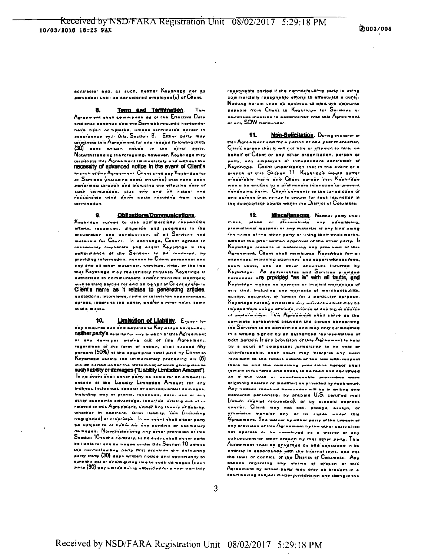eantractor ana, as such, neither Koybridge nor its .•rtun'ne i art on go ooritldore d a'mployae(») of Cllant,

8. Term and Termination  $T_{\text{b}}$ Agreement anest commence as or the Erfective Date end anali continue until the Service's required hereunder have been nompleted, uniess terminated earlier in ausuruance with this Seution B. Eltlier party may tarminata this Auroam ant fur any reason following thirty (30) aava written notice to the other party. Natwithstanding the foregoing, howaver, Kaybriage may ter minate this Agraem ant Immadiately and without the necessity of advanced notice In the event of Client's hraach of this Agreement. Client shell pay Kaybridge for all Sarvicea (including cests incurred) that have been performed through and including the effective date of auch termination, glus eny and all netwol and reesanaale win'd dawn casts rasuiking from such termination ,

#### 9. Obligations/Communications.

Knyariage egrees to use commercially recentible efforts, resources, diligation and Judgment in the BraseraUuri and usvelopment of all Services and materiale fur Cilent. In axchange, Cilent agrees to ressenship quoperate and assist Keybridge In the pettermance of the Servines to he rendered, by providing Information, accass to Client personnal and env and all other materials, services, data, or the ilse mas Keybridge may reasonably request. Keybridge is authorized to communicate and/or transmit electronic meli to third a trice for and on behalf of  $C$ llant englas in Client's name as It relates to generating artides, octeas, ietters to the editor, end/or almiter news items in the media.

10. **Limitation of Liability**. Except for any amounts due and payeule to Keyuridua hareunder, neither party's iis unity for any to each of this Agreement ar any damapas arising out of this Agreement, regardiass of the form of ection, shall exceed fifty persent (50%) at the aggregate total paid by Client to Kayundae during the immediately preceding als  $(6)$ menth period under the statement of work giving mas to such liability or damages ("Liability Limitation Amount"), In no avent shall either party be lieble for an amount in akaese ar ma Liepiuty Limitation Amount for any Indireat, Inclosintal, special or asheeguantiel damages, Including last of pratte, revenues, date, use or any Other sconomic advantaga, incurrad, arraing out af or related to this Agreement, under any trienry or usainy, whether in contract, strict itabinty, tort (indivalna negligence) or otherwise. In no avant thall alther party be suhject to or lianie for any punkive ar exemplary damage's. Netwith'stenning any other provision of this Saution 10 to the contrary, in no event shall exher perty be lieste far eny damsges under this  $S_{\tt switch}$  10  $\mu$ nless the non-valauiting party first provides the defauiring  $\rho$ erty thirty  $(30)$  days written notice and opportunity to sure the est or avont giving ring to such domages (such inniy (30) aay period being exterined for a noinmarcially

ressonable partod if the non-defaulting party le ueing commercially reasonable efforts to effectuate a cure). Nothing heralli shall be deemed to limit the ameunts payable from Chant to Kuyurlays for Surviuss an aspecies incurred in adacted and owith this  $\mathbb{A}_\mathbf{g}$ reament er anv SOW naroundar.

11. Non-Solicitation. During the term of  $\lambda$ oreement and for a period of one year thereafter. Cliant agrees that it will not hire or attampt to hire, no behalf of Cilent or any other organization, person or party, any amployes or incepencent contractor of Keybridge. Client understands that in the event of a preach of this Section 11. Keybridge would suffer irreparable narm and Client agrees they Keynnage would be anutlad to a prefiminary Injunction tu provent eshtinuing herm. Client consents to the jurisdiction of and auress that venue is urous: for such Injunction In the appropriate agures within the District of Columbia.

12. Miscallaneous Neunar party shall maka, piaca or dissaminate any advertising, pfomotional material or any material of any kind using . .<br>The name of the other party or using their trademarks, without the print-written approval of the ather party,  $\,$  If Kayandga pravalla in enforcing any provision of this Agraamant, Cilent shall roimbursa Kayeriaga for all akpen ees, including attorneys, and expert witness fees, suurt cuata, and air ather expanses incurred by Kaybndga. Al dailvarabisa and Sarvicas piuvldad hereunaer are provided "as is" with all faults, and Kaybridge makas no express or lingitad warrenUas of any kind, including any warranty of institutions bility, quality, accuracy, or fitness for a particular purpose. Keybridge hereby discleima any warranties that may be im plied from usage aftrade, eaurse af dealing or adurae or partormance. This Agreement shall savve as the complete agreement between the perties concerning the Services to be performed and may only be modified in a writing signed by an euthorized representative of both hardes. It any provision or this Agreem ant is held by a sourt of compotent jurisdiction to he vaid an whenforcesble, such court may interpret any such provision to the fullent estent of the low with respect there to and the ramaining provisions hereof shall ram ain in full force and affect, to be raed and construed .<br>\*\* If the void or unanfaraweals previnces ware originally delated or modified as provided by auch nourf. Any naksas raquired haraunder will be in Writing 660. asiiversa personaliy, by prapala U.S. certified moll  $(r_{\rm{min}}$  reacted requested), or by prepaid express courier. Citant may nat sell, plodge, saaign, or atherwise transfer any of its rights unuvr chis Aproament. The walver by elther party of the breezh at any pravisien af.this  $\Delta$ greemant by the other party shall n ot oparate or be senstrued as a weiver of any subsequent or other breech by thet other party. This Agreement snall be governed by and construct in Its entirety in edocrdance with the internal laws, and not the laws of conflict, of the District of Columbia. Any sations regarding any claims at brasch of this Apraement by either party may only be brought in a aburt neving au bject matter junsdiction and sizing in the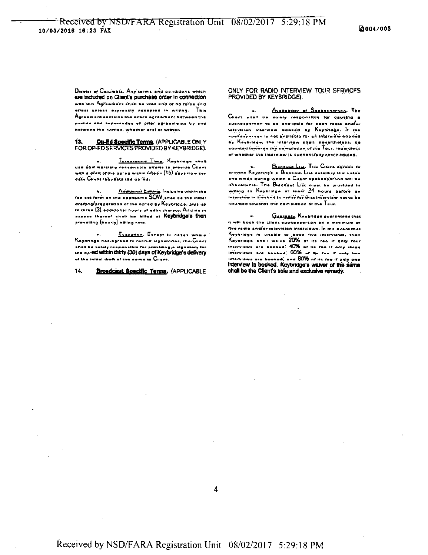District of Columbia. Any terms and gondidons which are included on Client's purchase order in connection wan this Agreement shall he until end of no force and STECS unless supressly accepted in writing. This Agreement contains the entire agreement hetween the perties and supersedes all orior agreements by sou hatween the parties, whether oral or written.

#### Op-Ed Specific Terms. (APPLICABLE ONLY 13. FOR OP-FD SERVICES PROVIDED BY KEYBRIDGE).

Turnareund Time. Kayariage anas use commercially rensonable allors to provide Cilent with a draft of the op-ed within riftedin (15) days from the data Cilens requests the apreal.

b. Additional Editing, Inclusive within the drafting/preparation of the op-ed by Keybridge, plus up to three (3) edditional hours of edits thereto. Ail time in necess thereof shall be billed at Keybridge's then pravailing (hourly) elling rate.

Execution. Except in cases where Kayandga-has-ngrand in rannur signatorias, rha-Clinnt aboli be selely responsible for providing a signatory for the op-ed within thirty (30) days of Keybridge's delivery of the initial draft of the name to Cliant.

 $14.$ Broadcast Specific Terms. (APPLICABLE

#### ONLY FOR RADIO INTERVIEW TOUR SFRVICES PROVIDED BY KEYBRIDGEL.

Avellebility of Spokesportson, The Client shed we salary responsible for causing a spekasperson to be available for each radio anglur Lelevision interview agazed by Kaybridge. It the sustangerson is not available for an interview pooked ay Kayarlaga, the interview shell, nevertheless, be counted towards the animpletion of the  $\bar{T}_{\texttt{out}}$  regardless of whether the interview is successfully rescheduled.

BLEARWACLASH, THIS CHEMI SEPETE to provine Kaynring's a Blackout List detailing the detecand times during which a Citent spokesperson will be IThousilania. The Blackout List must be provided in willing to Kayhrings at least 24 hours before an Interview in bonked in order for that interview not to be counted towards the completion of the Tour.

Guaranty, Keybridge guerentees thet is will book the cilent spokesperson on a minimum of five redio and/or television interviews. In the event thet Keyaridge is unable to book five interviews, then<br>Keyaridge ahall welve 20% of its fee if only four interviews are booked; 40% of ise fee if only shree. interviews are beaked; 60% or its rea ir anly two interviews are booked, and 80% or its ree if only one interview is booked. Keybridge's waiver of the same shall be the Client's sole and exclusive remedy.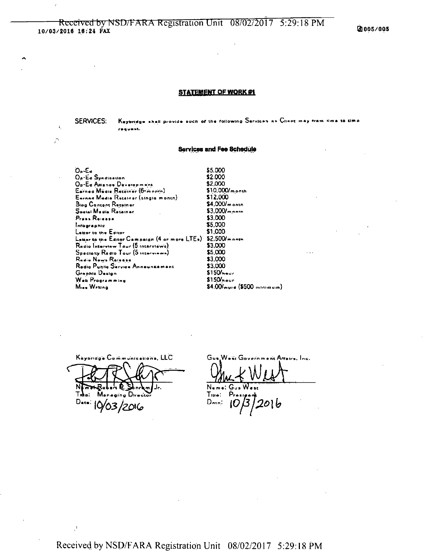@005/005

#### STATEMENT OF WORK #1

Keybridge shall provide such of the following Services as Client may from time to time **SERVICES:** request.

#### **Services and Fee Schedule**

 $O_p$  -E  $\alpha$ \$5,000 \$2,000 Op-Ed Syndlession \$2,000 Op-Ed Allianos Development Earned Madie Retainer (6-month) \$12,000 Earnan Madia Rosalnor (single month) Blog Contant Reseiner Social Media Retainer \$3,000 Press Release  $$5,000$ Intographic \$1,000 Lazor to the Editor Lauar to the Editor Campaign (4 or more LTEs) \$2,500/mnnth \$3,000 Redio Interview Tour (5 interviews) \$5,000 Specialty Redio Tour (5 Interviews) Redio News Rejecte \$3,000 \$3,000 Redio Puntle Service Announcement Graphic Dasign  $$150/$ heur Web Programming  $$150$ hour Mine Writing

 $$10.000/m$  prth  $$4,000/m$  onth  $$3,000/m$ \$4.00/ware (\$500 minimum)

Kaybridg's Communications, LLC N Man aging Dire Data: 10/03/2016

 $\ddot{\bullet}$ 

 $\hat{U}$ 

Gu. ac Government Arrairs, Inc.

 $Name:$  $G_{\cdot\cdot}$ 

 $T_{\rm true}$  :  $Danc$ : 16